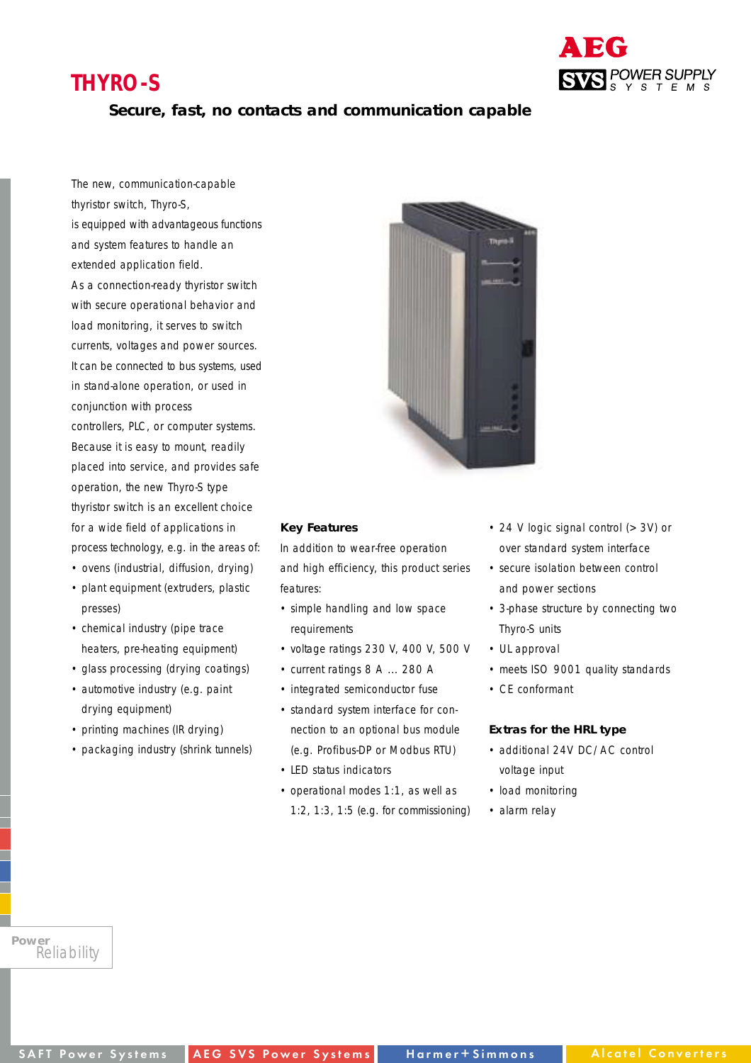# **THYRO-S**



### **Secure, fast, no contacts and communication capable**

The new, communication-capable thyristor switch, Thyro-S, is equipped with advantageous functions and system features to handle an extended application field. As a connection-ready thyristor switch with secure operational behavior and load monitoring, it serves to switch currents, voltages and power sources. It can be connected to bus systems, used in stand-alone operation, or used in conjunction with process controllers, PLC, or computer systems. Because it is easy to mount, readily placed into service, and provides safe operation, the new Thyro-S type thyristor switch is an excellent choice for a wide field of applications in process technology, e.g. in the areas of:

- ovens (industrial, diffusion, drying)
- plant equipment (extruders, plastic presses)
- chemical industry (pipe trace heaters, pre-heating equipment)
- glass processing (drying coatings)
- automotive industry (e.g. paint drying equipment)
- printing machines (IR drying)
- packaging industry (shrink tunnels)



#### **Key Features**

In addition to wear-free operation and high efficiency, this product series features:

- simple handling and low space requirements
- voltage ratings 230 V, 400 V, 500 V
- current ratings 8 A ... 280 A
- integrated semiconductor fuse
- standard system interface for connection to an optional bus module (e.g. Profibus-DP or Modbus RTU)
- LED status indicators
- operational modes 1:1, as well as
- 1:2, 1:3, 1:5 (e.g. for commissioning)
- 24 V logic signal control (> 3V) or over standard system interface
- secure isolation between control and power sections
- 3-phase structure by connecting two Thyro-S units
- UL approval
- meets ISO 9001 quality standards
- CE conformant

#### **Extras for the HRL type**

- additional 24V DC/AC control voltage input
- load monitoring
- alarm relay

*Power Reliability*